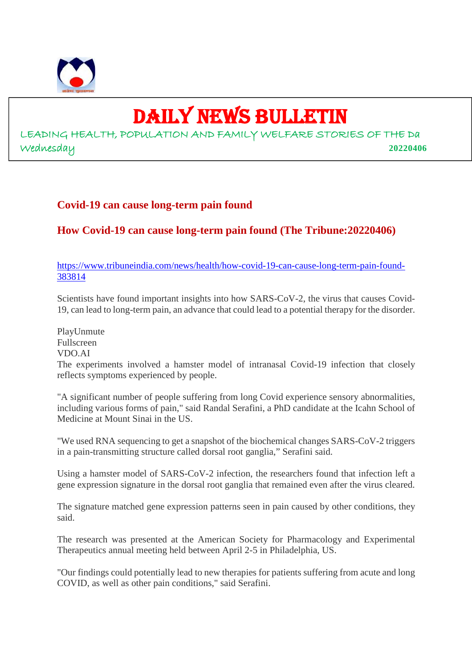

# DAILY NEWS BULLETIN

LEADING HEALTH, POPULATION AND FAMILY WELFARE STORIES OF THE Da Wednesday **20220406**

# **Covid-19 can cause long-term pain found**

# **How Covid-19 can cause long-term pain found (The Tribune:20220406)**

https://www.tribuneindia.com/news/health/how-covid-19-can-cause-long-term-pain-found-383814

Scientists have found important insights into how SARS-CoV-2, the virus that causes Covid-19, can lead to long-term pain, an advance that could lead to a potential therapy for the disorder.

PlayUnmute Fullscreen VDO.AI

The experiments involved a hamster model of intranasal Covid-19 infection that closely reflects symptoms experienced by people.

"A significant number of people suffering from long Covid experience sensory abnormalities, including various forms of pain," said Randal Serafini, a PhD candidate at the Icahn School of Medicine at Mount Sinai in the US.

"We used RNA sequencing to get a snapshot of the biochemical changes SARS-CoV-2 triggers in a pain-transmitting structure called dorsal root ganglia," Serafini said.

Using a hamster model of SARS-CoV-2 infection, the researchers found that infection left a gene expression signature in the dorsal root ganglia that remained even after the virus cleared.

The signature matched gene expression patterns seen in pain caused by other conditions, they said.

The research was presented at the American Society for Pharmacology and Experimental Therapeutics annual meeting held between April 2-5 in Philadelphia, US.

"Our findings could potentially lead to new therapies for patients suffering from acute and long COVID, as well as other pain conditions," said Serafini.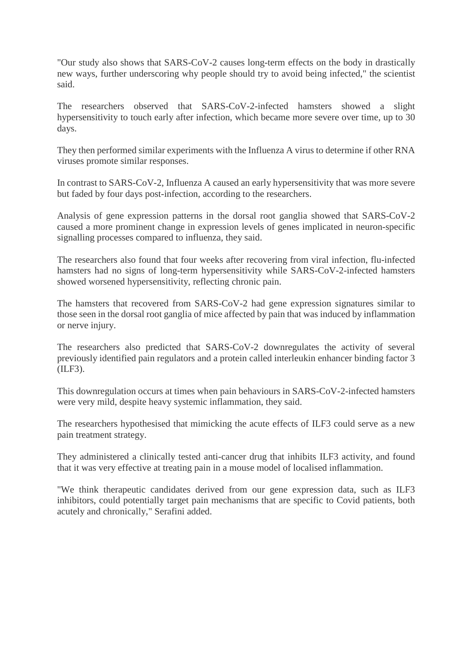"Our study also shows that SARS-CoV-2 causes long-term effects on the body in drastically new ways, further underscoring why people should try to avoid being infected," the scientist said.

The researchers observed that SARS-CoV-2-infected hamsters showed a slight hypersensitivity to touch early after infection, which became more severe over time, up to 30 days.

They then performed similar experiments with the Influenza A virus to determine if other RNA viruses promote similar responses.

In contrast to SARS-CoV-2, Influenza A caused an early hypersensitivity that was more severe but faded by four days post-infection, according to the researchers.

Analysis of gene expression patterns in the dorsal root ganglia showed that SARS-CoV-2 caused a more prominent change in expression levels of genes implicated in neuron-specific signalling processes compared to influenza, they said.

The researchers also found that four weeks after recovering from viral infection, flu-infected hamsters had no signs of long-term hypersensitivity while SARS-CoV-2-infected hamsters showed worsened hypersensitivity, reflecting chronic pain.

The hamsters that recovered from SARS-CoV-2 had gene expression signatures similar to those seen in the dorsal root ganglia of mice affected by pain that was induced by inflammation or nerve injury.

The researchers also predicted that SARS-CoV-2 downregulates the activity of several previously identified pain regulators and a protein called interleukin enhancer binding factor 3 (ILF3).

This downregulation occurs at times when pain behaviours in SARS-CoV-2-infected hamsters were very mild, despite heavy systemic inflammation, they said.

The researchers hypothesised that mimicking the acute effects of ILF3 could serve as a new pain treatment strategy.

They administered a clinically tested anti-cancer drug that inhibits ILF3 activity, and found that it was very effective at treating pain in a mouse model of localised inflammation.

"We think therapeutic candidates derived from our gene expression data, such as ILF3 inhibitors, could potentially target pain mechanisms that are specific to Covid patients, both acutely and chronically," Serafini added.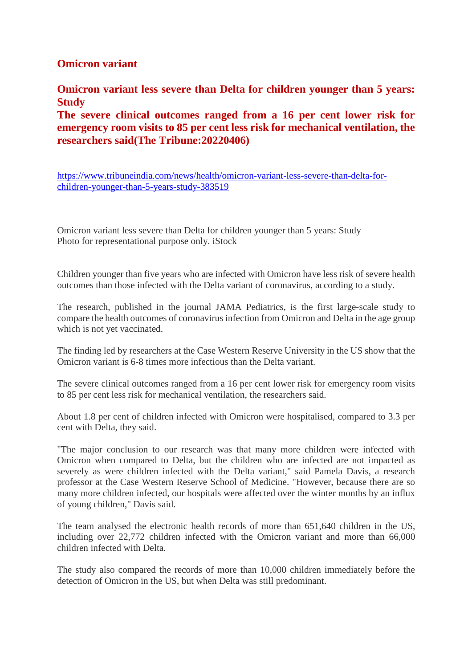# **Omicron variant**

**Omicron variant less severe than Delta for children younger than 5 years: Study**

**The severe clinical outcomes ranged from a 16 per cent lower risk for emergency room visits to 85 per cent less risk for mechanical ventilation, the researchers said(The Tribune:20220406)**

https://www.tribuneindia.com/news/health/omicron-variant-less-severe-than-delta-forchildren-younger-than-5-years-study-383519

Omicron variant less severe than Delta for children younger than 5 years: Study Photo for representational purpose only. iStock

Children younger than five years who are infected with Omicron have less risk of severe health outcomes than those infected with the Delta variant of coronavirus, according to a study.

The research, published in the journal JAMA Pediatrics, is the first large-scale study to compare the health outcomes of coronavirus infection from Omicron and Delta in the age group which is not yet vaccinated.

The finding led by researchers at the Case Western Reserve University in the US show that the Omicron variant is 6-8 times more infectious than the Delta variant.

The severe clinical outcomes ranged from a 16 per cent lower risk for emergency room visits to 85 per cent less risk for mechanical ventilation, the researchers said.

About 1.8 per cent of children infected with Omicron were hospitalised, compared to 3.3 per cent with Delta, they said.

"The major conclusion to our research was that many more children were infected with Omicron when compared to Delta, but the children who are infected are not impacted as severely as were children infected with the Delta variant," said Pamela Davis, a research professor at the Case Western Reserve School of Medicine. "However, because there are so many more children infected, our hospitals were affected over the winter months by an influx of young children," Davis said.

The team analysed the electronic health records of more than 651,640 children in the US, including over 22,772 children infected with the Omicron variant and more than 66,000 children infected with Delta.

The study also compared the records of more than 10,000 children immediately before the detection of Omicron in the US, but when Delta was still predominant.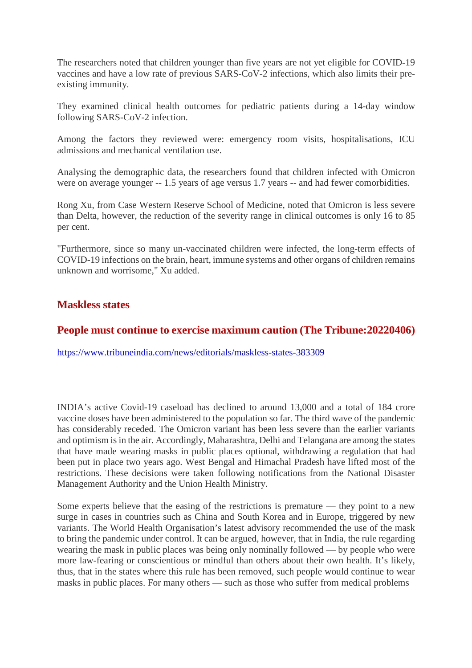The researchers noted that children younger than five years are not yet eligible for COVID-19 vaccines and have a low rate of previous SARS-CoV-2 infections, which also limits their preexisting immunity.

They examined clinical health outcomes for pediatric patients during a 14-day window following SARS-CoV-2 infection.

Among the factors they reviewed were: emergency room visits, hospitalisations, ICU admissions and mechanical ventilation use.

Analysing the demographic data, the researchers found that children infected with Omicron were on average younger -- 1.5 years of age versus 1.7 years -- and had fewer comorbidities.

Rong Xu, from Case Western Reserve School of Medicine, noted that Omicron is less severe than Delta, however, the reduction of the severity range in clinical outcomes is only 16 to 85 per cent.

"Furthermore, since so many un-vaccinated children were infected, the long-term effects of COVID-19 infections on the brain, heart, immune systems and other organs of children remains unknown and worrisome," Xu added.

#### **Maskless states**

#### **People must continue to exercise maximum caution (The Tribune:20220406)**

https://www.tribuneindia.com/news/editorials/maskless-states-383309

INDIA's active Covid-19 caseload has declined to around 13,000 and a total of 184 crore vaccine doses have been administered to the population so far. The third wave of the pandemic has considerably receded. The Omicron variant has been less severe than the earlier variants and optimism is in the air. Accordingly, Maharashtra, Delhi and Telangana are among the states that have made wearing masks in public places optional, withdrawing a regulation that had been put in place two years ago. West Bengal and Himachal Pradesh have lifted most of the restrictions. These decisions were taken following notifications from the National Disaster Management Authority and the Union Health Ministry.

Some experts believe that the easing of the restrictions is premature — they point to a new surge in cases in countries such as China and South Korea and in Europe, triggered by new variants. The World Health Organisation's latest advisory recommended the use of the mask to bring the pandemic under control. It can be argued, however, that in India, the rule regarding wearing the mask in public places was being only nominally followed — by people who were more law-fearing or conscientious or mindful than others about their own health. It's likely, thus, that in the states where this rule has been removed, such people would continue to wear masks in public places. For many others — such as those who suffer from medical problems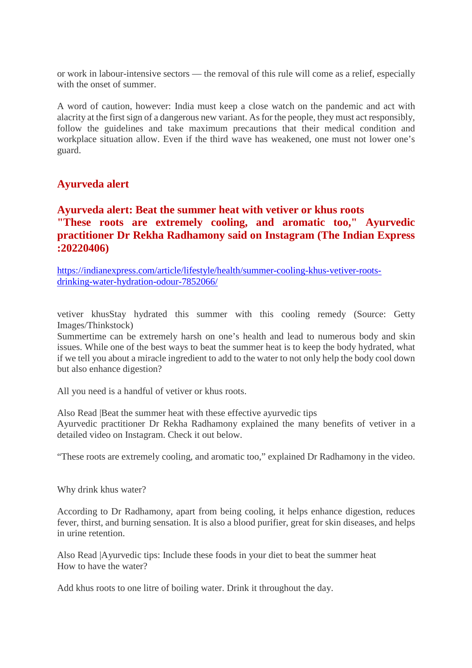or work in labour-intensive sectors — the removal of this rule will come as a relief, especially with the onset of summer.

A word of caution, however: India must keep a close watch on the pandemic and act with alacrity at the first sign of a dangerous new variant. As for the people, they must act responsibly, follow the guidelines and take maximum precautions that their medical condition and workplace situation allow. Even if the third wave has weakened, one must not lower one's guard.

#### **Ayurveda alert**

# **Ayurveda alert: Beat the summer heat with vetiver or khus roots "These roots are extremely cooling, and aromatic too," Ayurvedic practitioner Dr Rekha Radhamony said on Instagram (The Indian Express :20220406)**

https://indianexpress.com/article/lifestyle/health/summer-cooling-khus-vetiver-rootsdrinking-water-hydration-odour-7852066/

vetiver khusStay hydrated this summer with this cooling remedy (Source: Getty Images/Thinkstock)

Summertime can be extremely harsh on one's health and lead to numerous body and skin issues. While one of the best ways to beat the summer heat is to keep the body hydrated, what if we tell you about a miracle ingredient to add to the water to not only help the body cool down but also enhance digestion?

All you need is a handful of vetiver or khus roots.

Also Read |Beat the summer heat with these effective ayurvedic tips Ayurvedic practitioner Dr Rekha Radhamony explained the many benefits of vetiver in a detailed video on Instagram. Check it out below.

"These roots are extremely cooling, and aromatic too," explained Dr Radhamony in the video.

Why drink khus water?

According to Dr Radhamony, apart from being cooling, it helps enhance digestion, reduces fever, thirst, and burning sensation. It is also a blood purifier, great for skin diseases, and helps in urine retention.

Also Read |Ayurvedic tips: Include these foods in your diet to beat the summer heat How to have the water?

Add khus roots to one litre of boiling water. Drink it throughout the day.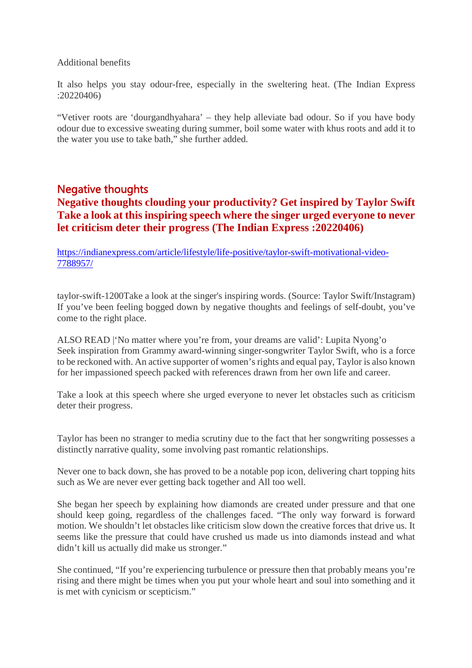#### Additional benefits

It also helps you stay odour-free, especially in the sweltering heat. (The Indian Express :20220406)

"Vetiver roots are 'dourgandhyahara' – they help alleviate bad odour. So if you have body odour due to excessive sweating during summer, boil some water with khus roots and add it to the water you use to take bath," she further added.

# Negative thoughts **Negative thoughts clouding your productivity? Get inspired by Taylor Swift Take a look at this inspiring speech where the singer urged everyone to never let criticism deter their progress (The Indian Express :20220406)**

https://indianexpress.com/article/lifestyle/life-positive/taylor-swift-motivational-video-7788957/

taylor-swift-1200Take a look at the singer's inspiring words. (Source: Taylor Swift/Instagram) If you've been feeling bogged down by negative thoughts and feelings of self-doubt, you've come to the right place.

ALSO READ |'No matter where you're from, your dreams are valid': Lupita Nyong'o Seek inspiration from Grammy award-winning singer-songwriter Taylor Swift, who is a force to be reckoned with. An active supporter of women's rights and equal pay, Taylor is also known for her impassioned speech packed with references drawn from her own life and career.

Take a look at this speech where she urged everyone to never let obstacles such as criticism deter their progress.

Taylor has been no stranger to media scrutiny due to the fact that her songwriting possesses a distinctly narrative quality, some involving past romantic relationships.

Never one to back down, she has proved to be a notable pop icon, delivering chart topping hits such as We are never ever getting back together and All too well.

She began her speech by explaining how diamonds are created under pressure and that one should keep going, regardless of the challenges faced. "The only way forward is forward motion. We shouldn't let obstacles like criticism slow down the creative forces that drive us. It seems like the pressure that could have crushed us made us into diamonds instead and what didn't kill us actually did make us stronger."

She continued, "If you're experiencing turbulence or pressure then that probably means you're rising and there might be times when you put your whole heart and soul into something and it is met with cynicism or scepticism."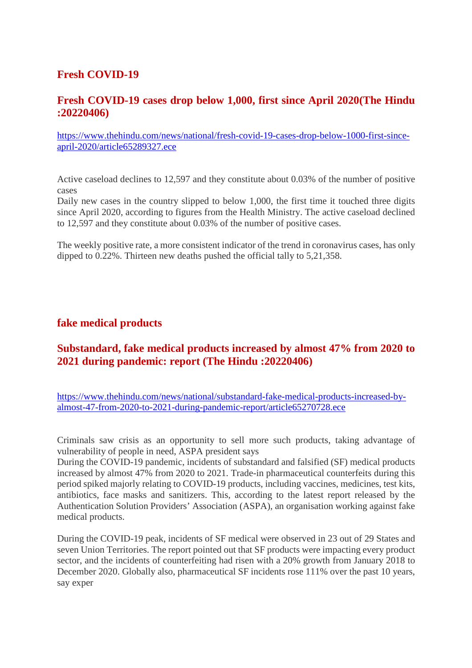# **Fresh COVID-19**

# **Fresh COVID-19 cases drop below 1,000, first since April 2020(The Hindu :20220406)**

https://www.thehindu.com/news/national/fresh-covid-19-cases-drop-below-1000-first-sinceapril-2020/article65289327.ece

Active caseload declines to 12,597 and they constitute about 0.03% of the number of positive cases

Daily new cases in the country slipped to below 1,000, the first time it touched three digits since April 2020, according to figures from the Health Ministry. The active caseload declined to 12,597 and they constitute about 0.03% of the number of positive cases.

The weekly positive rate, a more consistent indicator of the trend in coronavirus cases, has only dipped to 0.22%. Thirteen new deaths pushed the official tally to 5,21,358.

#### **fake medical products**

# **Substandard, fake medical products increased by almost 47% from 2020 to 2021 during pandemic: report (The Hindu :20220406)**

https://www.thehindu.com/news/national/substandard-fake-medical-products-increased-byalmost-47-from-2020-to-2021-during-pandemic-report/article65270728.ece

Criminals saw crisis as an opportunity to sell more such products, taking advantage of vulnerability of people in need, ASPA president says

During the COVID-19 pandemic, incidents of substandard and falsified (SF) medical products increased by almost 47% from 2020 to 2021. Trade-in pharmaceutical counterfeits during this period spiked majorly relating to COVID-19 products, including vaccines, medicines, test kits, antibiotics, face masks and sanitizers. This, according to the latest report released by the Authentication Solution Providers' Association (ASPA), an organisation working against fake medical products.

During the COVID-19 peak, incidents of SF medical were observed in 23 out of 29 States and seven Union Territories. The report pointed out that SF products were impacting every product sector, and the incidents of counterfeiting had risen with a 20% growth from January 2018 to December 2020. Globally also, pharmaceutical SF incidents rose 111% over the past 10 years, say exper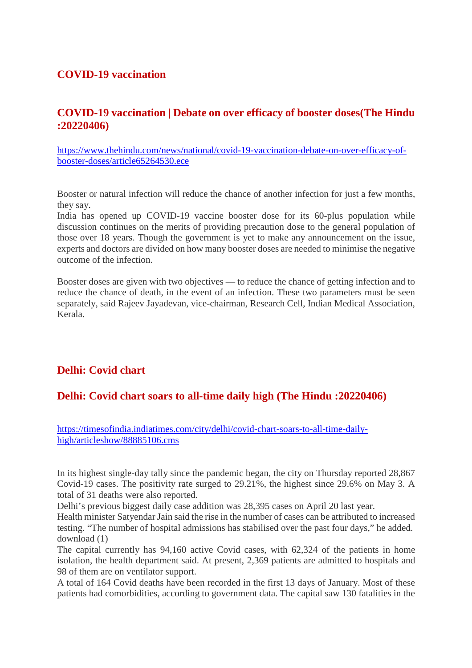# **COVID-19 vaccination**

# **COVID-19 vaccination | Debate on over efficacy of booster doses(The Hindu :20220406)**

https://www.thehindu.com/news/national/covid-19-vaccination-debate-on-over-efficacy-ofbooster-doses/article65264530.ece

Booster or natural infection will reduce the chance of another infection for just a few months, they say.

India has opened up COVID-19 vaccine booster dose for its 60-plus population while discussion continues on the merits of providing precaution dose to the general population of those over 18 years. Though the government is yet to make any announcement on the issue, experts and doctors are divided on how many booster doses are needed to minimise the negative outcome of the infection.

Booster doses are given with two objectives — to reduce the chance of getting infection and to reduce the chance of death, in the event of an infection. These two parameters must be seen separately, said Rajeev Jayadevan, vice-chairman, Research Cell, Indian Medical Association, Kerala.

# **Delhi: Covid chart**

#### **Delhi: Covid chart soars to all-time daily high (The Hindu :20220406)**

https://timesofindia.indiatimes.com/city/delhi/covid-chart-soars-to-all-time-dailyhigh/articleshow/88885106.cms

In its highest single-day tally since the pandemic began, the city on Thursday reported 28,867 Covid-19 cases. The positivity rate surged to 29.21%, the highest since 29.6% on May 3. A total of 31 deaths were also reported.

Delhi's previous biggest daily case addition was 28,395 cases on April 20 last year.

Health minister Satyendar Jain said the rise in the number of cases can be attributed to increased testing. "The number of hospital admissions has stabilised over the past four days," he added. download (1)

The capital currently has 94,160 active Covid cases, with 62,324 of the patients in home isolation, the health department said. At present, 2,369 patients are admitted to hospitals and 98 of them are on ventilator support.

A total of 164 Covid deaths have been recorded in the first 13 days of January. Most of these patients had comorbidities, according to government data. The capital saw 130 fatalities in the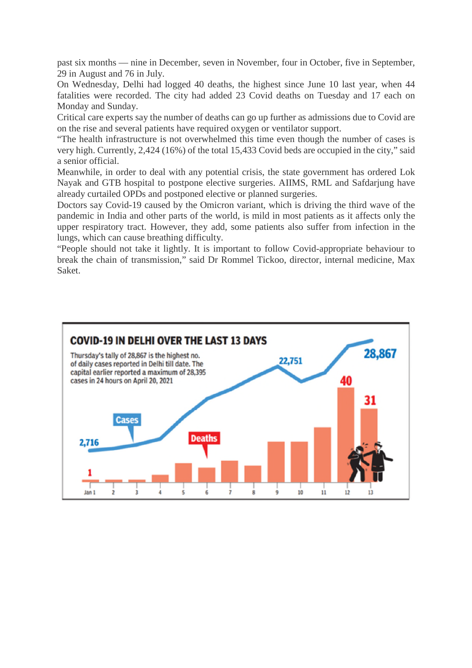past six months — nine in December, seven in November, four in October, five in September, 29 in August and 76 in July.

On Wednesday, Delhi had logged 40 deaths, the highest since June 10 last year, when 44 fatalities were recorded. The city had added 23 Covid deaths on Tuesday and 17 each on Monday and Sunday.

Critical care experts say the number of deaths can go up further as admissions due to Covid are on the rise and several patients have required oxygen or ventilator support.

"The health infrastructure is not overwhelmed this time even though the number of cases is very high. Currently, 2,424 (16%) of the total 15,433 Covid beds are occupied in the city," said a senior official.

Meanwhile, in order to deal with any potential crisis, the state government has ordered Lok Nayak and GTB hospital to postpone elective surgeries. AIIMS, RML and Safdarjung have already curtailed OPDs and postponed elective or planned surgeries.

Doctors say Covid-19 caused by the Omicron variant, which is driving the third wave of the pandemic in India and other parts of the world, is mild in most patients as it affects only the upper respiratory tract. However, they add, some patients also suffer from infection in the lungs, which can cause breathing difficulty.

"People should not take it lightly. It is important to follow Covid-appropriate behaviour to break the chain of transmission," said Dr Rommel Tickoo, director, internal medicine, Max Saket.

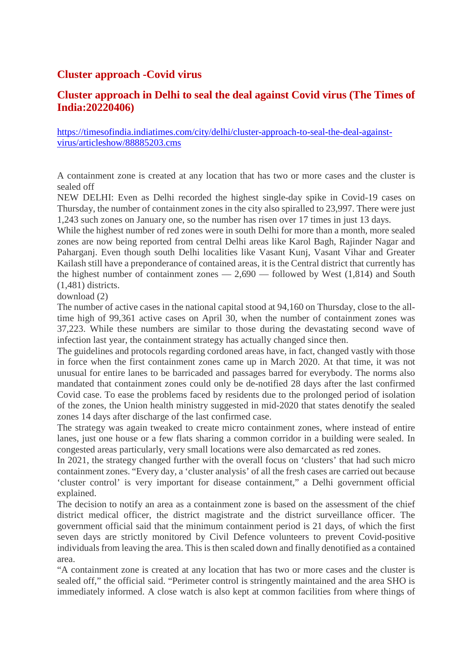# **Cluster approach -Covid virus**

# **Cluster approach in Delhi to seal the deal against Covid virus (The Times of India:20220406)**

https://timesofindia.indiatimes.com/city/delhi/cluster-approach-to-seal-the-deal-againstvirus/articleshow/88885203.cms

A containment zone is created at any location that has two or more cases and the cluster is sealed off

NEW DELHI: Even as Delhi recorded the highest single-day spike in Covid-19 cases on Thursday, the number of containment zones in the city also spiralled to 23,997. There were just 1,243 such zones on January one, so the number has risen over 17 times in just 13 days.

While the highest number of red zones were in south Delhi for more than a month, more sealed zones are now being reported from central Delhi areas like Karol Bagh, Rajinder Nagar and Paharganj. Even though south Delhi localities like Vasant Kunj, Vasant Vihar and Greater Kailash still have a preponderance of contained areas, it is the Central district that currently has the highest number of containment zones  $-2,690$  — followed by West (1,814) and South (1,481) districts.

download (2)

The number of active cases in the national capital stood at 94,160 on Thursday, close to the alltime high of 99,361 active cases on April 30, when the number of containment zones was 37,223. While these numbers are similar to those during the devastating second wave of infection last year, the containment strategy has actually changed since then.

The guidelines and protocols regarding cordoned areas have, in fact, changed vastly with those in force when the first containment zones came up in March 2020. At that time, it was not unusual for entire lanes to be barricaded and passages barred for everybody. The norms also mandated that containment zones could only be de-notified 28 days after the last confirmed Covid case. To ease the problems faced by residents due to the prolonged period of isolation of the zones, the Union health ministry suggested in mid-2020 that states denotify the sealed zones 14 days after discharge of the last confirmed case.

The strategy was again tweaked to create micro containment zones, where instead of entire lanes, just one house or a few flats sharing a common corridor in a building were sealed. In congested areas particularly, very small locations were also demarcated as red zones.

In 2021, the strategy changed further with the overall focus on 'clusters' that had such micro containment zones. "Every day, a 'cluster analysis' of all the fresh cases are carried out because 'cluster control' is very important for disease containment," a Delhi government official explained.

The decision to notify an area as a containment zone is based on the assessment of the chief district medical officer, the district magistrate and the district surveillance officer. The government official said that the minimum containment period is 21 days, of which the first seven days are strictly monitored by Civil Defence volunteers to prevent Covid-positive individuals from leaving the area. This is then scaled down and finally denotified as a contained area.

"A containment zone is created at any location that has two or more cases and the cluster is sealed off," the official said. "Perimeter control is stringently maintained and the area SHO is immediately informed. A close watch is also kept at common facilities from where things of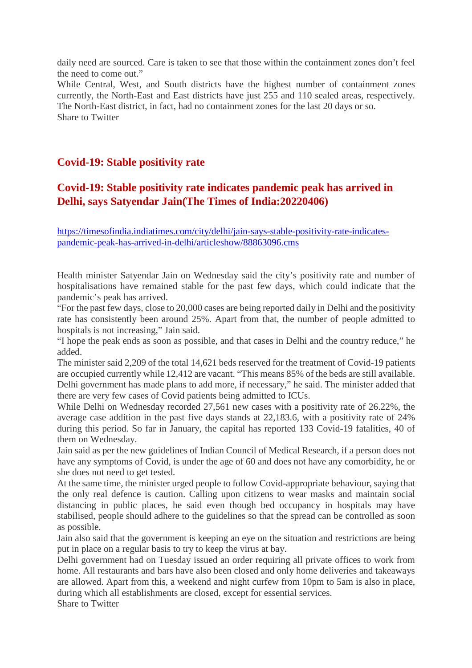daily need are sourced. Care is taken to see that those within the containment zones don't feel the need to come out."

While Central, West, and South districts have the highest number of containment zones currently, the North-East and East districts have just 255 and 110 sealed areas, respectively. The North-East district, in fact, had no containment zones for the last 20 days or so. Share to Twitter

# **Covid-19: Stable positivity rate**

# **Covid-19: Stable positivity rate indicates pandemic peak has arrived in Delhi, says Satyendar Jain(The Times of India:20220406)**

https://timesofindia.indiatimes.com/city/delhi/jain-says-stable-positivity-rate-indicatespandemic-peak-has-arrived-in-delhi/articleshow/88863096.cms

Health minister Satyendar Jain on Wednesday said the city's positivity rate and number of hospitalisations have remained stable for the past few days, which could indicate that the pandemic's peak has arrived.

"For the past few days, close to 20,000 cases are being reported daily in Delhi and the positivity rate has consistently been around 25%. Apart from that, the number of people admitted to hospitals is not increasing," Jain said.

"I hope the peak ends as soon as possible, and that cases in Delhi and the country reduce," he added.

The minister said 2,209 of the total 14,621 beds reserved for the treatment of Covid-19 patients are occupied currently while 12,412 are vacant. "This means 85% of the beds are still available. Delhi government has made plans to add more, if necessary," he said. The minister added that there are very few cases of Covid patients being admitted to ICUs.

While Delhi on Wednesday recorded 27,561 new cases with a positivity rate of 26.22%, the average case addition in the past five days stands at 22,183.6, with a positivity rate of 24% during this period. So far in January, the capital has reported 133 Covid-19 fatalities, 40 of them on Wednesday.

Jain said as per the new guidelines of Indian Council of Medical Research, if a person does not have any symptoms of Covid, is under the age of 60 and does not have any comorbidity, he or she does not need to get tested.

At the same time, the minister urged people to follow Covid-appropriate behaviour, saying that the only real defence is caution. Calling upon citizens to wear masks and maintain social distancing in public places, he said even though bed occupancy in hospitals may have stabilised, people should adhere to the guidelines so that the spread can be controlled as soon as possible.

Jain also said that the government is keeping an eye on the situation and restrictions are being put in place on a regular basis to try to keep the virus at bay.

Delhi government had on Tuesday issued an order requiring all private offices to work from home. All restaurants and bars have also been closed and only home deliveries and takeaways are allowed. Apart from this, a weekend and night curfew from 10pm to 5am is also in place, during which all establishments are closed, except for essential services.

Share to Twitter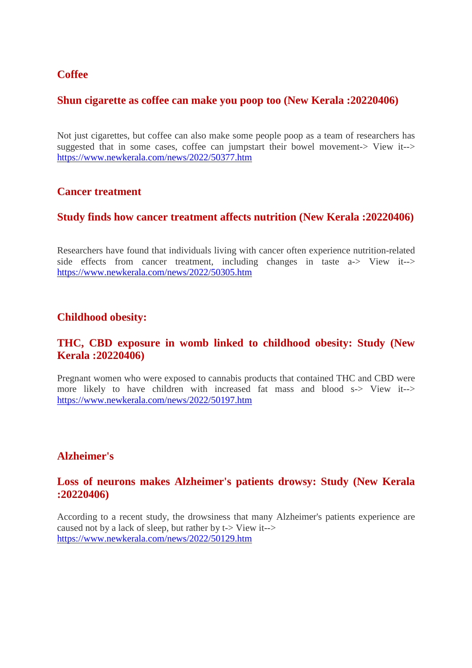#### **Coffee**

#### **Shun cigarette as coffee can make you poop too (New Kerala :20220406)**

Not just cigarettes, but coffee can also make some people poop as a team of researchers has suggested that in some cases, coffee can jumpstart their bowel movement-> View it--> https://www.newkerala.com/news/2022/50377.htm

#### **Cancer treatment**

#### **Study finds how cancer treatment affects nutrition (New Kerala :20220406)**

Researchers have found that individuals living with cancer often experience nutrition-related side effects from cancer treatment, including changes in taste a-> View it--> https://www.newkerala.com/news/2022/50305.htm

#### **Childhood obesity:**

#### **THC, CBD exposure in womb linked to childhood obesity: Study (New Kerala :20220406)**

Pregnant women who were exposed to cannabis products that contained THC and CBD were more likely to have children with increased fat mass and blood s-> View it--> https://www.newkerala.com/news/2022/50197.htm

#### **Alzheimer's**

#### **Loss of neurons makes Alzheimer's patients drowsy: Study (New Kerala :20220406)**

According to a recent study, the drowsiness that many Alzheimer's patients experience are caused not by a lack of sleep, but rather by t-> View it--> https://www.newkerala.com/news/2022/50129.htm